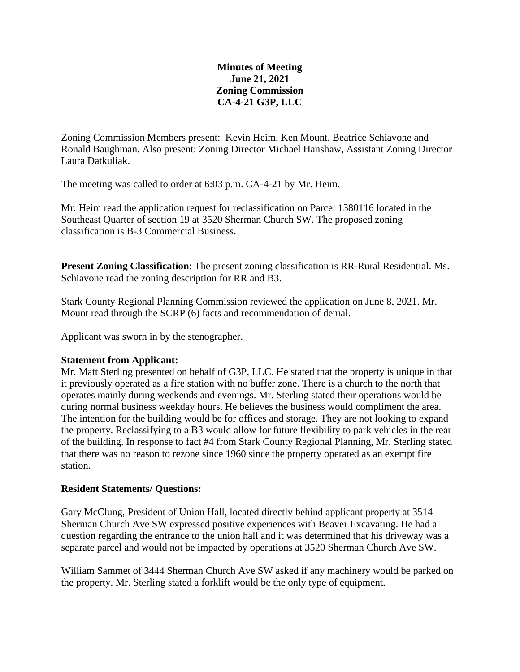# **Minutes of Meeting June 21, 2021 Zoning Commission CA-4-21 G3P, LLC**

Zoning Commission Members present: Kevin Heim, Ken Mount, Beatrice Schiavone and Ronald Baughman. Also present: Zoning Director Michael Hanshaw, Assistant Zoning Director Laura Datkuliak.

The meeting was called to order at 6:03 p.m. CA-4-21 by Mr. Heim.

Mr. Heim read the application request for reclassification on Parcel 1380116 located in the Southeast Quarter of section 19 at 3520 Sherman Church SW. The proposed zoning classification is B-3 Commercial Business.

**Present Zoning Classification**: The present zoning classification is RR-Rural Residential. Ms. Schiavone read the zoning description for RR and B3.

Stark County Regional Planning Commission reviewed the application on June 8, 2021. Mr. Mount read through the SCRP (6) facts and recommendation of denial.

Applicant was sworn in by the stenographer.

## **Statement from Applicant:**

Mr. Matt Sterling presented on behalf of G3P, LLC. He stated that the property is unique in that it previously operated as a fire station with no buffer zone. There is a church to the north that operates mainly during weekends and evenings. Mr. Sterling stated their operations would be during normal business weekday hours. He believes the business would compliment the area. The intention for the building would be for offices and storage. They are not looking to expand the property. Reclassifying to a B3 would allow for future flexibility to park vehicles in the rear of the building. In response to fact #4 from Stark County Regional Planning, Mr. Sterling stated that there was no reason to rezone since 1960 since the property operated as an exempt fire station.

## **Resident Statements/ Questions:**

Gary McClung, President of Union Hall, located directly behind applicant property at 3514 Sherman Church Ave SW expressed positive experiences with Beaver Excavating. He had a question regarding the entrance to the union hall and it was determined that his driveway was a separate parcel and would not be impacted by operations at 3520 Sherman Church Ave SW.

William Sammet of 3444 Sherman Church Ave SW asked if any machinery would be parked on the property. Mr. Sterling stated a forklift would be the only type of equipment.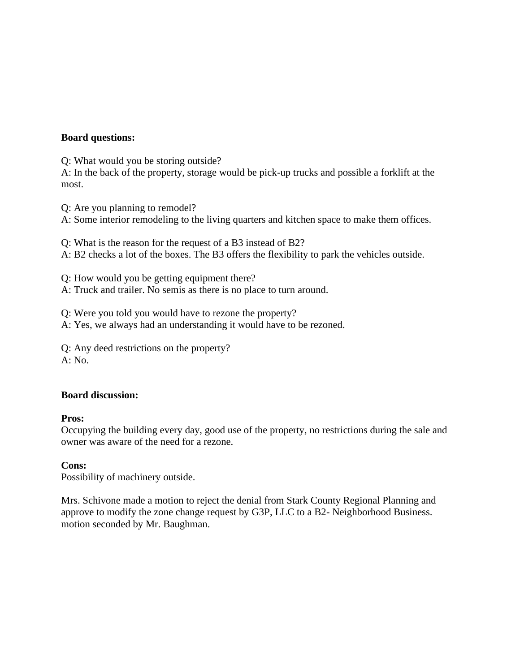## **Board questions:**

Q: What would you be storing outside?

A: In the back of the property, storage would be pick-up trucks and possible a forklift at the most.

Q: Are you planning to remodel?

A: Some interior remodeling to the living quarters and kitchen space to make them offices.

Q: What is the reason for the request of a B3 instead of B2?

A: B2 checks a lot of the boxes. The B3 offers the flexibility to park the vehicles outside.

Q: How would you be getting equipment there?

A: Truck and trailer. No semis as there is no place to turn around.

Q: Were you told you would have to rezone the property?

A: Yes, we always had an understanding it would have to be rezoned.

Q: Any deed restrictions on the property? A: No.

## **Board discussion:**

## **Pros:**

Occupying the building every day, good use of the property, no restrictions during the sale and owner was aware of the need for a rezone.

## **Cons:**

Possibility of machinery outside.

Mrs. Schivone made a motion to reject the denial from Stark County Regional Planning and approve to modify the zone change request by G3P, LLC to a B2- Neighborhood Business. motion seconded by Mr. Baughman.